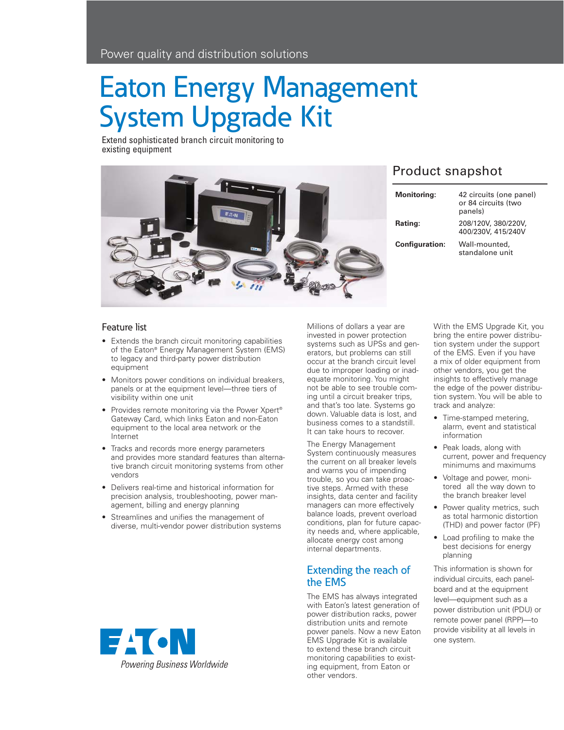# Eaton Energy Management System Upgrade Kit

Extend sophisticated branch circuit monitoring to existing equipment



# Product snapshot

| <b>Monitoring:</b>    | 42 circuits (one panel)<br>or 84 circuits (two<br>panels) |
|-----------------------|-----------------------------------------------------------|
| Rating:               | 208/120V, 380/220V,<br>400/230V, 415/240V                 |
| <b>Configuration:</b> | Wall-mounted,<br>standalone unit                          |

### Feature list

- Extends the branch circuit monitoring capabilities of the Eaton® Energy Management System (EMS) to legacy and third-party power distribution equipment
- Monitors power conditions on individual breakers, panels or at the equipment level—three tiers of visibility within one unit
- Provides remote monitoring via the Power Xpert® Gateway Card, which links Eaton and non-Eaton equipment to the local area network or the Internet
- Tracks and records more energy parameters and provides more standard features than alternative branch circuit monitoring systems from other vendors
- Delivers real-time and historical information for precision analysis, troubleshooting, power management, billing and energy planning
- Streamlines and unifies the management of diverse, multi-vendor power distribution systems



Millions of dollars a year are invested in power protection systems such as UPSs and generators, but problems can still occur at the branch circuit level due to improper loading or inadequate monitoring. You might not be able to see trouble coming until a circuit breaker trips, and that's too late. Systems go down. Valuable data is lost, and business comes to a standstill. It can take hours to recover.

The Energy Management System continuously measures the current on all breaker levels and warns you of impending trouble, so you can take proactive steps. Armed with these insights, data center and facility managers can more effectively balance loads, prevent overload conditions, plan for future capacity needs and, where applicable, allocate energy cost among internal departments.

## Extending the reach of the EMS

The EMS has always integrated with Eaton's latest generation of power distribution racks, power distribution units and remote power panels. Now a new Eaton EMS Upgrade Kit is available to extend these branch circuit monitoring capabilities to existing equipment, from Eaton or other vendors.

With the EMS Upgrade Kit, you bring the entire power distribution system under the support of the EMS. Even if you have a mix of older equipment from other vendors, you get the insights to effectively manage the edge of the power distribution system. You will be able to track and analyze:

- Time-stamped metering, alarm, event and statistical information
- Peak loads, along with current, power and frequency minimums and maximums
- Voltage and power, monitored all the way down to the branch breaker level
- Power quality metrics, such as total harmonic distortion (THD) and power factor (PF)
- Load profiling to make the best decisions for energy planning

This information is shown for individual circuits, each panelboard and at the equipment level—equipment such as a power distribution unit (PDU) or remote power panel (RPP)—to provide visibility at all levels in one system.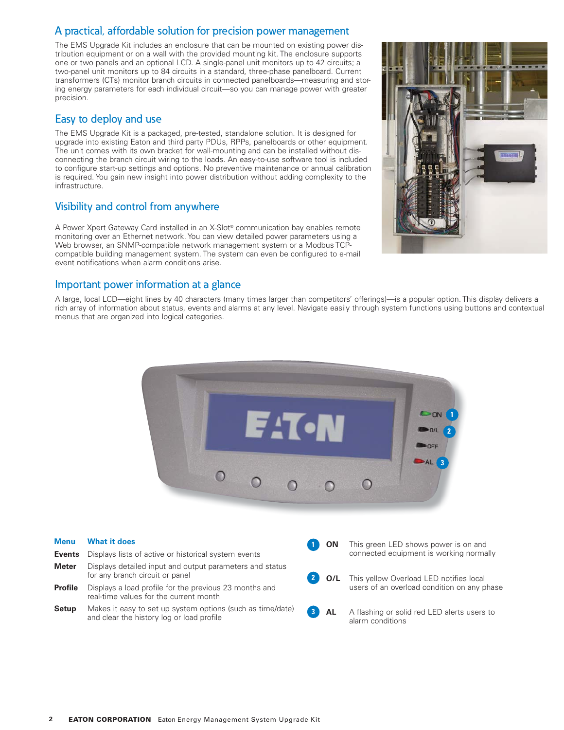# A practical, affordable solution for precision power management

The EMS Upgrade Kit includes an enclosure that can be mounted on existing power distribution equipment or on a wall with the provided mounting kit. The enclosure supports one or two panels and an optional LCD. A single-panel unit monitors up to 42 circuits; a two-panel unit monitors up to 84 circuits in a standard, three-phase panelboard. Current transformers (CTs) monitor branch circuits in connected panelboards—measuring and storing energy parameters for each individual circuit—so you can manage power with greater precision.

### Easy to deploy and use

The EMS Upgrade Kit is a packaged, pre-tested, standalone solution. It is designed for upgrade into existing Eaton and third party PDUs, RPPs, panelboards or other equipment. The unit comes with its own bracket for wall-mounting and can be installed without disconnecting the branch circuit wiring to the loads. An easy-to-use software tool is included to configure start-up settings and options. No preventive maintenance or annual calibration is required. You gain new insight into power distribution without adding complexity to the infrastructure.

# Visibility and control from anywhere

A Power Xpert Gateway Card installed in an X-Slot® communication bay enables remote monitoring over an Ethernet network. You can view detailed power parameters using a Web browser, an SNMP-compatible network management system or a Modbus TCPcompatible building management system. The system can even be configured to e-mail event notifications when alarm conditions arise.

### Important power information at a glance

A large, local LCD—eight lines by 40 characters (many times larger than competitors' offerings)—is a popular option. This display delivers a rich array of information about status, events and alarms at any level. Navigate easily through system functions using buttons and contextual menus that are organized into logical categories.



| <b>What it does</b>                                                                                     |                        | <b>ON</b> | This green LED shows power is on and                            |
|---------------------------------------------------------------------------------------------------------|------------------------|-----------|-----------------------------------------------------------------|
| Displays lists of active or historical system events                                                    |                        |           | connected equipment is working normally                         |
| Displays detailed input and output parameters and status<br>for any branch circuit or panel             |                        |           | This yellow Overload LED notifies local                         |
| Displays a load profile for the previous 23 months and<br>real-time values for the current month        |                        |           | users of an overload condition on any phase                     |
| Makes it easy to set up system options (such as time/date)<br>and clear the history log or load profile | $\mathbf{3}^{\dagger}$ |           | A flashing or solid red LED alerts users to<br>alarm conditions |
|                                                                                                         |                        |           |                                                                 |

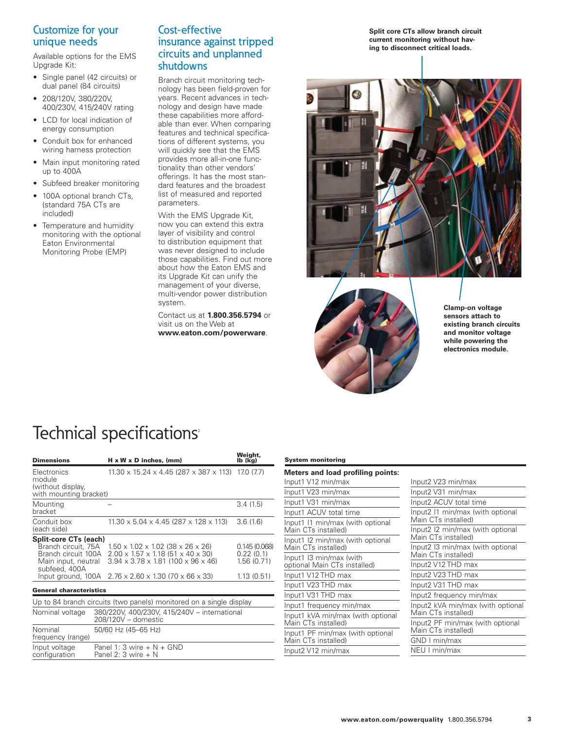# Customize for your unique needs

Available options for the EMS Upgrade Kit:

- Single panel (42 circuits) or dual panel (84 circuits)
- 208/120V, 380/220V, 400/230V, 415/240V rating
- LCD for local indication of energy consumption
- Conduit box for enhanced wiring harness protection
- Main input monitoring rated up to 400A
- Subfeed breaker monitoring
- 100A optional branch CTs, (standard 75A CTs are included)
- Temperature and humidity monitoring with the optional Eaton Environmental Monitoring Probe (EMP)

### Cost-effective insurance against tripped circuits and unplanned shutdowns

Branch circuit monitoring technology has been field-proven for years. Recent advances in technology and design have made these capabilities more affordable than ever. When comparing features and technical specifications of different systems, you will quickly see that the EMS provides more all-in-one functionality than other vendors' offerings. It has the most standard features and the broadest list of measured and reported parameters.

With the EMS Upgrade Kit, now you can extend this extra layer of visibility and control to distribution equipment that was never designed to include those capabilities. Find out more about how the Eaton EMS and its Upgrade Kit can unify the management of your diverse, multi-vendor power distribution system.

Contact us at **1.800.356.5794** or visit us on the Web at **www.eaton.com/powerware**.

**Split core CTs allow branch circuit current monitoring without having to disconnect critical loads.**





**Clamp-on voltage sensors attach to existing branch circuits and monitor voltage while powering the electronics module.**

# Technical specifications<sup>1</sup>

| <b>Dimensions</b>                                                                                                                                                   | $H \times W \times D$ inches, (mm)                                                                                                                                                                                                          | Weight,<br>lb (kg)                                    |
|---------------------------------------------------------------------------------------------------------------------------------------------------------------------|---------------------------------------------------------------------------------------------------------------------------------------------------------------------------------------------------------------------------------------------|-------------------------------------------------------|
| Electronics<br>module<br>(without display,<br>with mounting bracket)                                                                                                | $11.30 \times 15.24 \times 4.45$ (287 x 387 x 113) 17.0 (7.7)                                                                                                                                                                               |                                                       |
| Mounting<br>bracket                                                                                                                                                 |                                                                                                                                                                                                                                             | 3.4(1.5)                                              |
| Conduit box<br>(each side)                                                                                                                                          | $11.30 \times 5.04 \times 4.45$ (287 x 128 x 113)                                                                                                                                                                                           | 3.6(1.6)                                              |
| Split-core CTs (each)<br>Branch circuit. 75A<br>Branch circuit 100A<br>Main input, neutral<br>subfeed, 400A<br>Input ground, 100A<br><b>General characteristics</b> | $1.50 \times 1.02 \times 1.02$ (38 $\times$ 26 $\times$ 26)<br>$2.00 \times 1.57 \times 1.18$ (51 $\times$ 40 $\times$ 30)<br>$3.94 \times 3.78 \times 1.81$ (100 x 96 x 46)<br>$2.76 \times 2.60 \times 1.30$ (70 $\times$ 66 $\times$ 33) | 0.145(0.068)<br>0.22(0.1)<br>1.56(0.71)<br>1.13(0.51) |
|                                                                                                                                                                     | Up to 84 branch circuits (two panels) monitored on a single display                                                                                                                                                                         |                                                       |
| Nominal voltage                                                                                                                                                     | 380/220V, 400/230V, 415/240V - international<br>208/120V - domestic                                                                                                                                                                         |                                                       |
| Nominal<br>frequency (range)                                                                                                                                        | 50/60 Hz (45-65 Hz)                                                                                                                                                                                                                         |                                                       |
| Input voltage<br>configuration                                                                                                                                      | Panel 1: 3 wire $+ N + GND$<br>Panel 2: 3 wire $+$ N                                                                                                                                                                                        |                                                       |

### **System monitoring**

| <b>Meters and load profiling points:</b>                 |                                                                                                                                                        |  |
|----------------------------------------------------------|--------------------------------------------------------------------------------------------------------------------------------------------------------|--|
| Input1 V12 min/max                                       | Input2 V23 min/max                                                                                                                                     |  |
| Input1 V23 min/max                                       | Input2 V31 min/max                                                                                                                                     |  |
| Input1 V31 min/max                                       | Input2 ACUV total time                                                                                                                                 |  |
| Input1 ACUV total time                                   | Input2 I1 min/max (with optional<br>Main CTs installed)<br>Input2 I2 min/max (with optional<br>Main CTs installed)<br>Input2 I3 min/max (with optional |  |
| Input1 I1 min/max (with optional<br>Main CTs installed)  |                                                                                                                                                        |  |
| Input1 I2 min/max (with optional<br>Main CTs installed)  |                                                                                                                                                        |  |
| Input1 I3 min/max (with<br>optional Main CTs installed)  | Main CTs installed)<br>Input2 V12 THD max                                                                                                              |  |
| Input1 V12 THD max                                       | Input2 V23 THD max                                                                                                                                     |  |
| Input1 V23 THD max                                       | Input2 V31 THD max                                                                                                                                     |  |
| Input1 V31 THD max                                       | Input2 frequency min/max                                                                                                                               |  |
| Input1 frequency min/max                                 | Input2 kVA min/max (with optiona<br>Main CTs installed)<br>Input2 PF min/max (with optional<br>Main CTs installed)<br>GND I min/max                    |  |
| Input1 kVA min/max (with optional<br>Main CTs installed) |                                                                                                                                                        |  |
| Input1 PF min/max (with optional<br>Main CTs installed)  |                                                                                                                                                        |  |
| Input2 V12 min/max                                       | NEU I min/max                                                                                                                                          |  |
|                                                          |                                                                                                                                                        |  |

(with optional